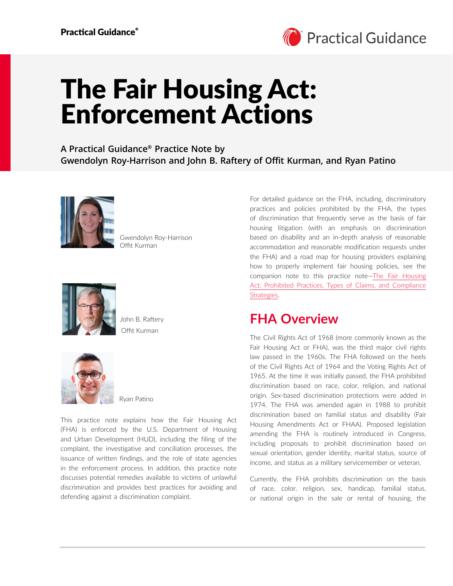

# The Fair Housing Act: Enforcement Actions

**A Practical Guidance® Practice Note by Gwendolyn Roy-Harrison and John B. Raftery of Offit Kurman, and Ryan Patino**



Gwendolyn Roy-Harrison Offit Kurman



Offit Kurman John B. Raftery



Ryan Patino

This practice note explains how the Fair Housing Act (FHA) is enforced by the U.S. Department of Housing and Urban Development (HUD), including the filing of the complaint, the investigative and conciliation processes, the issuance of written findings, and the role of state agencies in the enforcement process. In addition, this practice note discusses potential remedies available to victims of unlawful discrimination and provides best practices for avoiding and defending against a discrimination complaint.

For detailed guidance on the FHA, including, discriminatory practices and policies prohibited by the FHA, the types of discrimination that frequently serve as the basis of fair housing litigation (with an emphasis on discrimination based on disability and an in-depth analysis of reasonable accommodation and reasonable modification requests under the FHA) and a road map for housing providers explaining how to properly implement fair housing policies, see the companion note to this practice note[—The Fair Housing](https://advance.lexis.com/open/document/lpadocument/?pdmfid=1000522&pddocfullpath=%2Fshared%2Fdocument%2Fanalytical-materials%2Furn%3AcontentItem%3A63V3-X4K1-JXG3-X2TP-00000-00&pdcontentcomponentid=500749&pdteaserkey=sr0&pditab=allpods&ecomp=ztrg&earg=sr0)  [Act: Prohibited Practices, Types of Claims, and Compliance](https://advance.lexis.com/open/document/lpadocument/?pdmfid=1000522&pddocfullpath=%2Fshared%2Fdocument%2Fanalytical-materials%2Furn%3AcontentItem%3A63V3-X4K1-JXG3-X2TP-00000-00&pdcontentcomponentid=500749&pdteaserkey=sr0&pditab=allpods&ecomp=ztrg&earg=sr0)  [Strategies.](https://advance.lexis.com/open/document/lpadocument/?pdmfid=1000522&pddocfullpath=%2Fshared%2Fdocument%2Fanalytical-materials%2Furn%3AcontentItem%3A63V3-X4K1-JXG3-X2TP-00000-00&pdcontentcomponentid=500749&pdteaserkey=sr0&pditab=allpods&ecomp=ztrg&earg=sr0)

### **FHA Overview**

The Civil Rights Act of 1968 (more commonly known as the Fair Housing Act or FHA), was the third major civil rights law passed in the 1960s. The FHA followed on the heels of the Civil Rights Act of 1964 and the Voting Rights Act of 1965. At the time it was initially passed, the FHA prohibited discrimination based on race, color, religion, and national origin. Sex-based discrimination protections were added in 1974. The FHA was amended again in 1988 to prohibit discrimination based on familial status and disability (Fair Housing Amendments Act or FHAA). Proposed legislation amending the FHA is routinely introduced in Congress, including proposals to prohibit discrimination based on sexual orientation, gender identity, marital status, source of income, and status as a military servicemember or veteran.

Currently, the FHA prohibits discrimination on the basis of race, color, religion, sex, handicap, familial status, or national origin in the sale or rental of housing, the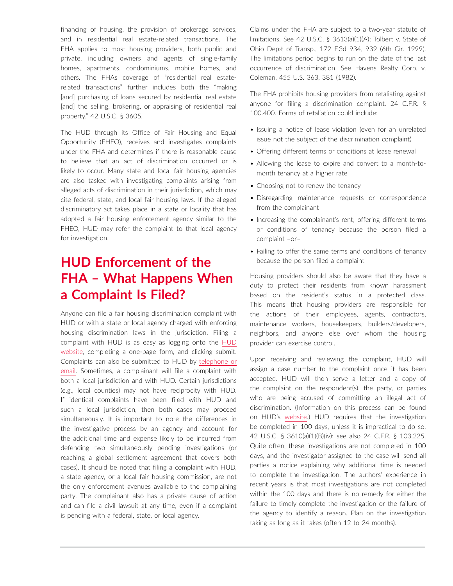financing of housing, the provision of brokerage services, and in residential real estate-related transactions. The FHA applies to most housing providers, both public and private, including owners and agents of single-family homes, apartments, condominiums, mobile homes, and others. The FHAs coverage of "residential real estaterelated transactions" further includes both the "making [and] purchasing of loans secured by residential real estate [and] the selling, brokering, or appraising of residential real property." 42 U.S.C. § 3605.

The HUD through its Office of Fair Housing and Equal Opportunity (FHEO), receives and investigates complaints under the FHA and determines if there is reasonable cause to believe that an act of discrimination occurred or is likely to occur. Many state and local fair housing agencies are also tasked with investigating complaints arising from alleged acts of discrimination in their jurisdiction, which may cite federal, state, and local fair housing laws. If the alleged discriminatory act takes place in a state or locality that has adopted a fair housing enforcement agency similar to the FHEO, HUD may refer the complaint to that local agency for investigation.

# **HUD Enforcement of the FHA – What Happens When a Complaint Is Filed?**

Anyone can file a fair housing discrimination complaint with HUD or with a state or local agency charged with enforcing housing discrimination laws in the jurisdiction. Filing a complaint with HUD is as easy as logging onto the [HUD](https://www.hud.gov/program_offices/fair_housing_equal_opp/online-complaint)  [website](https://www.hud.gov/program_offices/fair_housing_equal_opp/online-complaint), completing a one-page form, and clicking submit. Complaints can also be submitted to HUD by [telephone or](https://www.hud.gov/program_offices/fair_housing_equal_opp/online-complaint)  [email](https://www.hud.gov/program_offices/fair_housing_equal_opp/online-complaint). Sometimes, a complainant will file a complaint with both a local jurisdiction and with HUD. Certain jurisdictions (e.g., local counties) may not have reciprocity with HUD. If identical complaints have been filed with HUD and such a local jurisdiction, then both cases may proceed simultaneously. It is important to note the differences in the investigative process by an agency and account for the additional time and expense likely to be incurred from defending two simultaneously pending investigations (or reaching a global settlement agreement that covers both cases). It should be noted that filing a complaint with HUD, a state agency, or a local fair housing commission, are not the only enforcement avenues available to the complaining party. The complainant also has a private cause of action and can file a civil lawsuit at any time, even if a complaint is pending with a federal, state, or local agency.

Claims under the FHA are subject to a two-year statute of limitations. See 42 U.S.C. § 3613(a)(1)(A); Tolbert v. State of Ohio Dep›t of Transp., 172 F.3d 934, 939 (6th Cir. 1999). The limitations period begins to run on the date of the last occurrence of discrimination. See Havens Realty Corp. v. Coleman, 455 U.S. 363, 381 (1982).

The FHA prohibits housing providers from retaliating against anyone for filing a discrimination complaint. 24 C.F.R. § 100.400. Forms of retaliation could include:

- Issuing a notice of lease violation (even for an unrelated issue not the subject of the discrimination complaint)
- Offering different terms or conditions at lease renewal
- Allowing the lease to expire and convert to a month-tomonth tenancy at a higher rate
- Choosing not to renew the tenancy
- Disregarding maintenance requests or correspondence from the complainant
- Increasing the complainant's rent; offering different terms or conditions of tenancy because the person filed a complaint –or–
- Failing to offer the same terms and conditions of tenancy because the person filed a complaint

Housing providers should also be aware that they have a duty to protect their residents from known harassment based on the resident's status in a protected class. This means that housing providers are responsible for the actions of their employees, agents, contractors, maintenance workers, housekeepers, builders/developers, neighbors, and anyone else over whom the housing provider can exercise control.

Upon receiving and reviewing the complaint, HUD will assign a case number to the complaint once it has been accepted. HUD will then serve a letter and a copy of the complaint on the respondent(s), the party, or parties who are being accused of committing an illegal act of discrimination. (Information on this process can be found on HUD's [website.](https://www.hud.gov/program_offices/fair_housing_equal_opp/complaint-process)) HUD requires that the investigation be completed in 100 days, unless it is impractical to do so. 42 U.S.C. § 3610(a)(1)(B)(iv); see also 24 C.F.R. § 103.225. Quite often, these investigations are not completed in 100 days, and the investigator assigned to the case will send all parties a notice explaining why additional time is needed to complete the investigation. The authors' experience in recent years is that most investigations are not completed within the 100 days and there is no remedy for either the failure to timely complete the investigation or the failure of the agency to identify a reason. Plan on the investigation taking as long as it takes (often 12 to 24 months).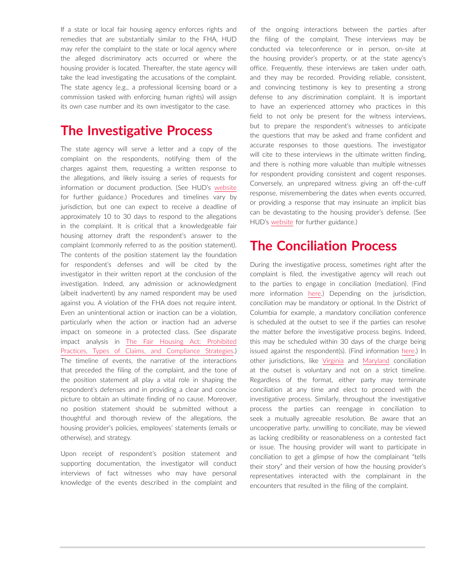If a state or local fair housing agency enforces rights and remedies that are substantially similar to the FHA, HUD may refer the complaint to the state or local agency where the alleged discriminatory acts occurred or where the housing provider is located. Thereafter, the state agency will take the lead investigating the accusations of the complaint. The state agency (e.g., a professional licensing board or a commission tasked with enforcing human rights) will assign its own case number and its own investigator to the case.

#### **The Investigative Process**

The state agency will serve a letter and a copy of the complaint on the respondents, notifying them of the charges against them, requesting a written response to the allegations, and likely issuing a series of requests for information or document production. (See HUD's [website](https://www.hud.gov/program_offices/fair_housing_equal_opp/complaint-process) for further guidance.) Procedures and timelines vary by jurisdiction, but one can expect to receive a deadline of approximately 10 to 30 days to respond to the allegations in the complaint. It is critical that a knowledgeable fair housing attorney draft the respondent's answer to the complaint (commonly referred to as the position statement). The contents of the position statement lay the foundation for respondent's defenses and will be cited by the investigator in their written report at the conclusion of the investigation. Indeed, any admission or acknowledgment (albeit inadvertent) by any named respondent may be used against you. A violation of the FHA does not require intent. Even an unintentional action or inaction can be a violation, particularly when the action or inaction had an adverse impact on someone in a protected class. (See disparate impact analysis in [The Fair Housing Act: Prohibited](https://advance.lexis.com/open/document/lpadocument/?pdmfid=1000522&pddocfullpath=%2Fshared%2Fdocument%2Fanalytical-materials%2Furn%3AcontentItem%3A63V3-X4K1-JXG3-X2TP-00000-00&pdcontentcomponentid=500749&pdteaserkey=sr0&pditab=allpods&ecomp=ztrg&earg=sr0)  [Practices, Types of Claims, and Compliance Strategies.](https://advance.lexis.com/open/document/lpadocument/?pdmfid=1000522&pddocfullpath=%2Fshared%2Fdocument%2Fanalytical-materials%2Furn%3AcontentItem%3A63V3-X4K1-JXG3-X2TP-00000-00&pdcontentcomponentid=500749&pdteaserkey=sr0&pditab=allpods&ecomp=ztrg&earg=sr0)) The timeline of events, the narrative of the interactions that preceded the filing of the complaint, and the tone of the position statement all play a vital role in shaping the respondent's defenses and in providing a clear and concise picture to obtain an ultimate finding of no cause. Moreover, no position statement should be submitted without a thoughtful and thorough review of the allegations, the housing provider's policies, employees' statements (emails or otherwise), and strategy.

Upon receipt of respondent's position statement and supporting documentation, the investigator will conduct interviews of fact witnesses who may have personal knowledge of the events described in the complaint and of the ongoing interactions between the parties after the filing of the complaint. These interviews may be conducted via teleconference or in person, on-site at the housing provider's property, or at the state agency's office. Frequently, these interviews are taken under oath, and they may be recorded. Providing reliable, consistent, and convincing testimony is key to presenting a strong defense to any discrimination complaint. It is important to have an experienced attorney who practices in this field to not only be present for the witness interviews, but to prepare the respondent's witnesses to anticipate the questions that may be asked and frame confident and accurate responses to those questions. The investigator will cite to these interviews in the ultimate written finding, and there is nothing more valuable than multiple witnesses for respondent providing consistent and cogent responses. Conversely, an unprepared witness giving an off-the-cuff response, misremembering the dates when events occurred, or providing a response that may insinuate an implicit bias can be devastating to the housing provider's defense. (See HUD's [website](https://www.hud.gov/program_offices/fair_housing_equal_opp/complaint-process) for further guidance.)

### **The Conciliation Process**

During the investigative process, sometimes right after the complaint is filed, the investigative agency will reach out to the parties to engage in conciliation (mediation). (Find more information [here.](https://www.hud.gov/program_offices/fair_housing_equal_opp/complaint-process)) Depending on the jurisdiction, conciliation may be mandatory or optional. In the District of Columbia for example, a mandatory conciliation conference is scheduled at the outset to see if the parties can resolve the matter before the investigative process begins. Indeed, this may be scheduled within 30 days of the charge being issued against the respondent(s). (Find information [here.](https://ohr.dc.gov/sites/default/files/dc/sites/ohr/publication/attachments/OHR%20Standard%20Operating%20Procedures_October2017_FINAL.pdf)) In other jurisdictions, like [Virginia](https://www.dpor.virginia.gov/ADR) and [Maryland](https://mccr.maryland.gov/Pages/Investigation.aspx) conciliation at the outset is voluntary and not on a strict timeline. Regardless of the format, either party may terminate conciliation at any time and elect to proceed with the investigative process. Similarly, throughout the investigative process the parties can reengage in conciliation to seek a mutually agreeable resolution. Be aware that an uncooperative party, unwilling to conciliate, may be viewed as lacking credibility or reasonableness on a contested fact or issue. The housing provider will want to participate in conciliation to get a glimpse of how the complainant "tells their story" and their version of how the housing provider's representatives interacted with the complainant in the encounters that resulted in the filing of the complaint.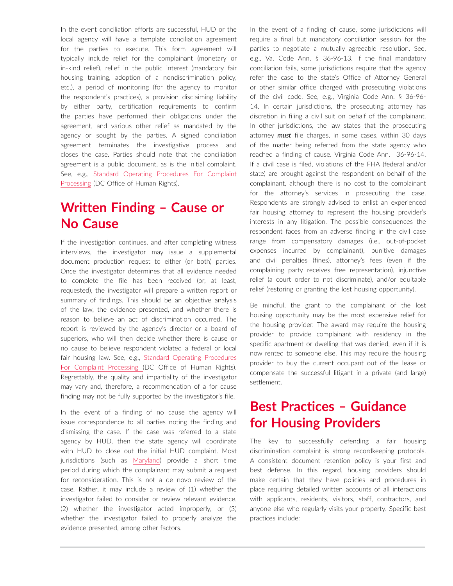In the event conciliation efforts are successful, HUD or the local agency will have a template conciliation agreement for the parties to execute. This form agreement will typically include relief for the complainant (monetary or in-kind relief), relief in the public interest (mandatory fair housing training, adoption of a nondiscrimination policy, etc.), a period of monitoring (for the agency to monitor the respondent's practices), a provision disclaiming liability by either party, certification requirements to confirm the parties have performed their obligations under the agreement, and various other relief as mandated by the agency or sought by the parties. A signed conciliation agreement terminates the investigative process and closes the case. Parties should note that the conciliation agreement is a public document, as is the initial complaint. See, e.g., [Standard Operating Procedures For Complaint](https://ohr.dc.gov/sites/default/files/dc/sites/ohr/publication/attachments/OHR%20Standard%20Operating%20Procedures_October2017_FINAL.pdf)  [Processing](https://ohr.dc.gov/sites/default/files/dc/sites/ohr/publication/attachments/OHR%20Standard%20Operating%20Procedures_October2017_FINAL.pdf) (DC Office of Human Rights).

## **Written Finding – Cause or No Cause**

If the investigation continues, and after completing witness interviews, the investigator may issue a supplemental document production request to either (or both) parties. Once the investigator determines that all evidence needed to complete the file has been received (or, at least, requested), the investigator will prepare a written report or summary of findings. This should be an objective analysis of the law, the evidence presented, and whether there is reason to believe an act of discrimination occurred. The report is reviewed by the agency's director or a board of superiors, who will then decide whether there is cause or no cause to believe respondent violated a federal or local fair housing law. See, e.g., [Standard Operating Procedures](https://ohr.dc.gov/sites/default/files/dc/sites/ohr/publication/attachments/OHR%20Standard%20Operating%20Procedures_October2017_FINAL.pdf)  [For Complaint Processing](https://ohr.dc.gov/sites/default/files/dc/sites/ohr/publication/attachments/OHR%20Standard%20Operating%20Procedures_October2017_FINAL.pdf) (DC Office of Human Rights). Regrettably, the quality and impartiality of the investigator may vary and, therefore, a recommendation of a for cause finding may not be fully supported by the investigator's file.

In the event of a finding of no cause the agency will issue correspondence to all parties noting the finding and dismissing the case. If the case was referred to a state agency by HUD, then the state agency will coordinate with HUD to close out the initial HUD complaint. Most jurisdictions (such as [Maryland\)](https://mccr.maryland.gov/Pages/Investigation.aspx) provide a short time period during which the complainant may submit a request for reconsideration. This is not a de novo review of the case. Rather, it may include a review of (1) whether the investigator failed to consider or review relevant evidence, (2) whether the investigator acted improperly, or (3) whether the investigator failed to properly analyze the evidence presented, among other factors.

In the event of a finding of cause, some jurisdictions will require a final but mandatory conciliation session for the parties to negotiate a mutually agreeable resolution. See, e.g., Va. Code Ann. § 36-96-13. If the final mandatory conciliation fails, some jurisdictions require that the agency refer the case to the state's Office of Attorney General or other similar office charged with prosecuting violations of the civil code. See, e.g., Virginia Code Ann. § 36-96- 14. In certain jurisdictions, the prosecuting attorney has discretion in filing a civil suit on behalf of the complainant. In other jurisdictions, the law states that the prosecuting attorney *must* file charges, in some cases, within 30 days of the matter being referred from the state agency who reached a finding of cause. Virginia Code Ann. 36-96-14. If a civil case is filed, violations of the FHA (federal and/or state) are brought against the respondent on behalf of the complainant, although there is no cost to the complainant for the attorney's services in prosecuting the case. Respondents are strongly advised to enlist an experienced fair housing attorney to represent the housing provider's interests in any litigation. The possible consequences the respondent faces from an adverse finding in the civil case range from compensatory damages (i.e., out-of-pocket expenses incurred by complainant), punitive damages and civil penalties (fines), attorney's fees (even if the complaining party receives free representation), injunctive relief (a court order to not discriminate), and/or equitable relief (restoring or granting the lost housing opportunity).

Be mindful, the grant to the complainant of the lost housing opportunity may be the most expensive relief for the housing provider. The award may require the housing provider to provide complainant with residency in the specific apartment or dwelling that was denied, even if it is now rented to someone else. This may require the housing provider to buy the current occupant out of the lease or compensate the successful litigant in a private (and large) settlement.

### **Best Practices – Guidance for Housing Providers**

The key to successfully defending a fair housing discrimination complaint is strong recordkeeping protocols. A consistent document retention policy is your first and best defense. In this regard, housing providers should make certain that they have policies and procedures in place requiring detailed written accounts of all interactions with applicants, residents, visitors, staff, contractors, and anyone else who regularly visits your property. Specific best practices include: